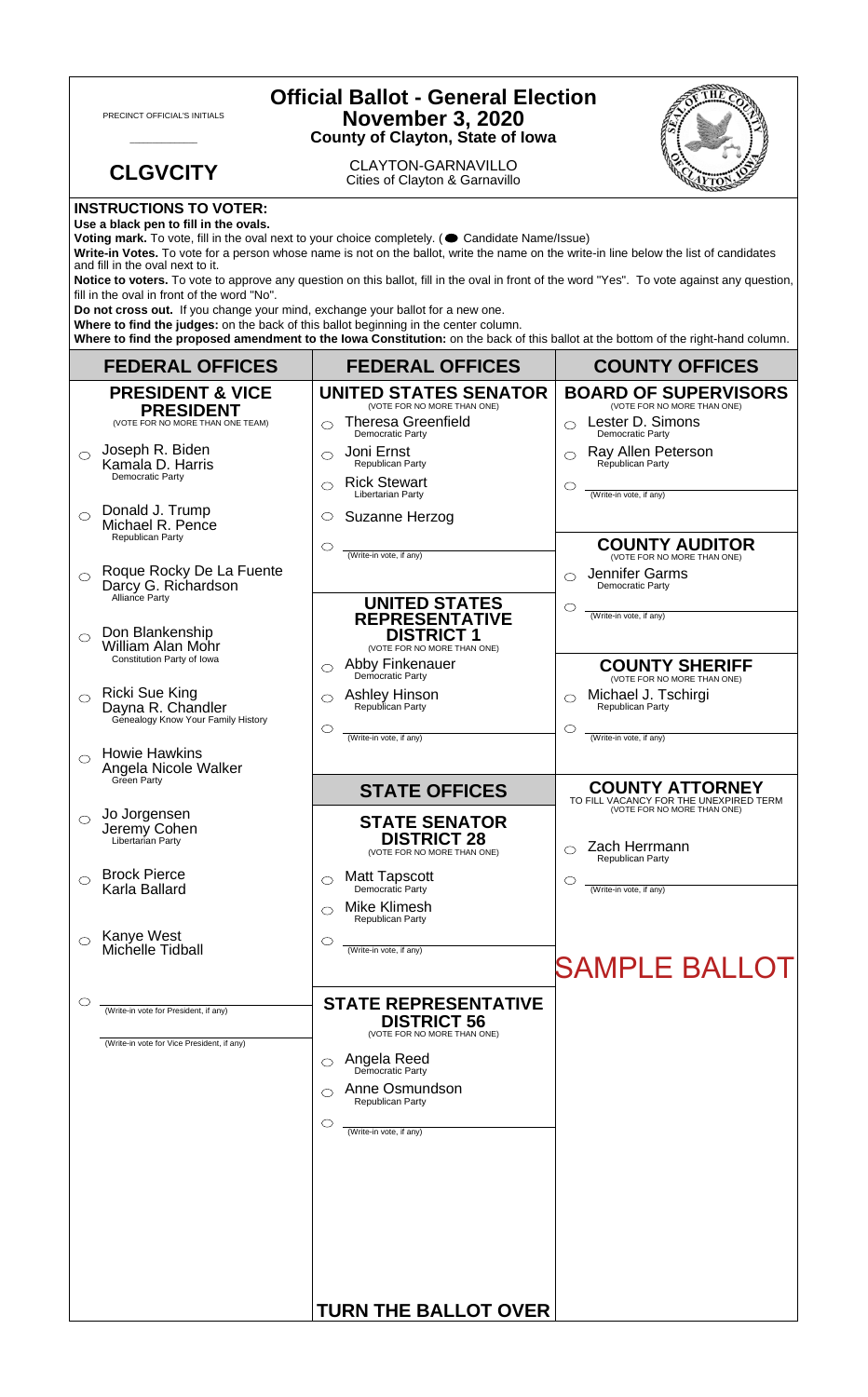| <b>Official Ballot - General Election</b><br><b>November 3, 2020</b><br>PRECINCT OFFICIAL'S INITIALS<br><b>County of Clayton, State of Iowa</b>                                                                                                                                                                                                                                                                                                                                                            |                                                                                  |                                                                            |                                                                        |  |
|------------------------------------------------------------------------------------------------------------------------------------------------------------------------------------------------------------------------------------------------------------------------------------------------------------------------------------------------------------------------------------------------------------------------------------------------------------------------------------------------------------|----------------------------------------------------------------------------------|----------------------------------------------------------------------------|------------------------------------------------------------------------|--|
|                                                                                                                                                                                                                                                                                                                                                                                                                                                                                                            | <b>CLGVCITY</b>                                                                  | <b>CLAYTON-GARNAVILLO</b><br>Cities of Clayton & Garnavillo                |                                                                        |  |
| <b>INSTRUCTIONS TO VOTER:</b><br>Use a black pen to fill in the ovals.<br>Voting mark. To vote, fill in the oval next to your choice completely. ( Candidate Name/Issue)<br>Write-in Votes. To vote for a person whose name is not on the ballot, write the name on the write-in line below the list of candidates<br>and fill in the oval next to it.                                                                                                                                                     |                                                                                  |                                                                            |                                                                        |  |
| Notice to voters. To vote to approve any question on this ballot, fill in the oval in front of the word "Yes". To vote against any question,<br>fill in the oval in front of the word "No".<br>Do not cross out. If you change your mind, exchange your ballot for a new one.<br>Where to find the judges: on the back of this ballot beginning in the center column.<br>Where to find the proposed amendment to the lowa Constitution: on the back of this ballot at the bottom of the right-hand column. |                                                                                  |                                                                            |                                                                        |  |
|                                                                                                                                                                                                                                                                                                                                                                                                                                                                                                            | <b>FEDERAL OFFICES</b>                                                           | <b>FEDERAL OFFICES</b>                                                     | <b>COUNTY OFFICES</b>                                                  |  |
|                                                                                                                                                                                                                                                                                                                                                                                                                                                                                                            | <b>PRESIDENT &amp; VICE</b>                                                      | <b>UNITED STATES SENATOR</b><br>(VOTE FOR NO MORE THAN ONE)                | <b>BOARD OF SUPERVISORS</b><br>(VOTE FOR NO MORE THAN ONE)             |  |
|                                                                                                                                                                                                                                                                                                                                                                                                                                                                                                            | <b>PRESIDENT</b><br>(VOTE FOR NO MORE THAN ONE TEAM)                             | <b>Theresa Greenfield</b><br>⌒                                             | Lester D. Simons                                                       |  |
|                                                                                                                                                                                                                                                                                                                                                                                                                                                                                                            | Joseph R. Biden<br>Kamala D. Harris<br>Democratic Party                          | Democratic Party<br>Joni Ernst<br>⌒<br>Republican Party                    | Democratic Party<br>Ray Allen Peterson<br>Republican Party             |  |
|                                                                                                                                                                                                                                                                                                                                                                                                                                                                                                            |                                                                                  | <b>Rick Stewart</b><br>⌒<br>Libertarian Party                              | O<br>(Write-in vote, if any)                                           |  |
| $\bigcirc$                                                                                                                                                                                                                                                                                                                                                                                                                                                                                                 | Donald J. Trump<br>Michael R. Pence<br>Republican Party                          | Suzanne Herzog<br>$\circlearrowright$                                      | <b>COUNTY AUDITOR</b>                                                  |  |
| $\bigcirc$                                                                                                                                                                                                                                                                                                                                                                                                                                                                                                 | Roque Rocky De La Fuente<br>Darcy G. Richardson<br>Alliance Party                | (Write-in vote, if any)                                                    | (VOTE FOR NO MORE THAN ONE)<br>Jennifer Garms<br>◯<br>Democratic Party |  |
| $\bigcirc$                                                                                                                                                                                                                                                                                                                                                                                                                                                                                                 | Don Blankenship                                                                  | <b>UNITED STATES</b><br><b>REPRESENTATIVE</b><br><b>DISTRICT 1</b>         | C<br>(Write-in vote, if any)                                           |  |
|                                                                                                                                                                                                                                                                                                                                                                                                                                                                                                            | William Alan Mohr<br>Constitution Party of Iowa                                  | (VOTE FOR NO MORE THAN ONE)<br>Abby Finkenauer<br>⌒<br>Democratic Party    | <b>COUNTY SHERIFF</b><br>(VOTE FOR NO MORE THAN ONE)                   |  |
|                                                                                                                                                                                                                                                                                                                                                                                                                                                                                                            | <b>Ricki Sue King</b><br>Dayna R. Chandler<br>Genealogy Know Your Family History | <b>Ashley Hinson</b><br>O<br>Republican Party<br>O                         | Michael J. Tschirgi<br>Republican Party<br>C                           |  |
| ◯                                                                                                                                                                                                                                                                                                                                                                                                                                                                                                          | <b>Howie Hawkins</b><br>Angela Nicole Walker                                     | (Write-in vote, if any)                                                    | (Write-in vote, if any)                                                |  |
|                                                                                                                                                                                                                                                                                                                                                                                                                                                                                                            | Green Party                                                                      | <b>STATE OFFICES</b>                                                       | <b>COUNTY ATTORNEY</b><br>TO FILL VACANCY FOR THE UNEXPIRED TERM       |  |
| $\bigcirc$                                                                                                                                                                                                                                                                                                                                                                                                                                                                                                 | Jo Jorgensen<br>Jeremy Cohen<br>Libertarian Party                                | <b>STATE SENATOR</b><br><b>DISTRICT 28</b><br>(VOTE FOR NO MORE THAN ONE)  | (VOTE FOR NO MORE THAN ONE)<br>Zach Herrmann<br>Republican Party       |  |
| ◯                                                                                                                                                                                                                                                                                                                                                                                                                                                                                                          | <b>Brock Pierce</b>                                                              | <b>Matt Tapscott</b><br>⌒                                                  | C                                                                      |  |
|                                                                                                                                                                                                                                                                                                                                                                                                                                                                                                            | Karla Ballard                                                                    | Democratic Party<br><b>Mike Klimesh</b><br>Republican Party                | (Write-in vote, if any)                                                |  |
|                                                                                                                                                                                                                                                                                                                                                                                                                                                                                                            | Kanye West<br>Michelle Tidball                                                   | $\circlearrowright$<br>(Write-in vote, if any)                             | <b>SAMPLE BALLOT</b>                                                   |  |
|                                                                                                                                                                                                                                                                                                                                                                                                                                                                                                            | (Write-in vote for President, if any)                                            | <b>STATE REPRESENTATIVE</b><br><b>DISTRICT 56</b>                          |                                                                        |  |
|                                                                                                                                                                                                                                                                                                                                                                                                                                                                                                            | (Write-in vote for Vice President, if any)                                       | (VOTE FOR NO MORE THAN ONE)<br><b>Angela Reed</b><br>Democratic Party<br>◯ |                                                                        |  |
|                                                                                                                                                                                                                                                                                                                                                                                                                                                                                                            |                                                                                  | Anne Osmundson<br>⌒<br>Republican Party                                    |                                                                        |  |
|                                                                                                                                                                                                                                                                                                                                                                                                                                                                                                            |                                                                                  | O<br>(Write-in vote, if any)                                               |                                                                        |  |
|                                                                                                                                                                                                                                                                                                                                                                                                                                                                                                            |                                                                                  | <b>TURN THE BALLOT OVER</b>                                                |                                                                        |  |